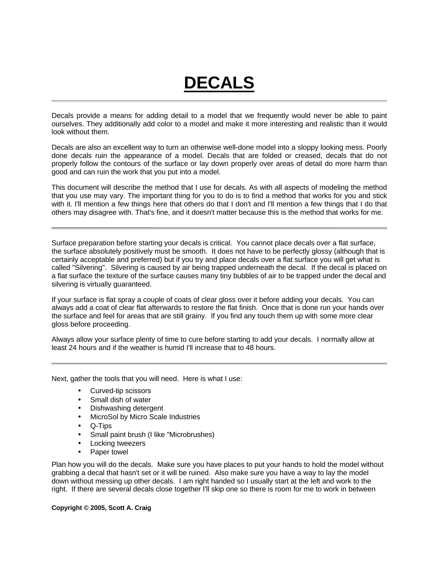## **DECALS**

Decals provide a means for adding detail to a model that we frequently would never be able to paint ourselves. They additionally add color to a model and make it more interesting and realistic than it would look without them.

Decals are also an excellent way to turn an otherwise well-done model into a sloppy looking mess. Poorly done decals ruin the appearance of a model. Decals that are folded or creased, decals that do not properly follow the contours of the surface or lay down properly over areas of detail do more harm than good and can ruin the work that you put into a model.

This document will describe the method that I use for decals. As with all aspects of modeling the method that you use may vary. The important thing for you to do is to find a method that works for you and stick with it. I'll mention a few things here that others do that I don't and I'll mention a few things that I do that others may disagree with. That's fine, and it doesn't matter because this is the method that works for me.

Surface preparation before starting your decals is critical. You cannot place decals over a flat surface, the surface absolutely positively must be smooth. It does not have to be perfectly glossy (although that is certainly acceptable and preferred) but if you try and place decals over a flat surface you will get what is called "Silvering". Silvering is caused by air being trapped underneath the decal. If the decal is placed on a flat surface the texture of the surface causes many tiny bubbles of air to be trapped under the decal and silvering is virtually guaranteed.

If your surface is flat spray a couple of coats of clear gloss over it before adding your decals. You can always add a coat of clear flat afterwards to restore the flat finish. Once that is done run your hands over the surface and feel for areas that are still grainy. If you find any touch them up with some more clear gloss before proceeding.

Always allow your surface plenty of time to cure before starting to add your decals. I normally allow at least 24 hours and if the weather is humid I'll increase that to 48 hours.

Next, gather the tools that you will need. Here is what I use:

- Curved-tip scissors
- Small dish of water
- Dishwashing detergent
- MicroSol by Micro Scale Industries
- Q-Tips
- Small paint brush (I like "Microbrushes)
- Locking tweezers
- Paper towel

Plan how you will do the decals. Make sure you have places to put your hands to hold the model without grabbing a decal that hasn't set or it will be ruined. Also make sure you have a way to lay the model down without messing up other decals. I am right handed so I usually start at the left and work to the right. If there are several decals close together I'll skip one so there is room for me to work in between

## **Copyright © 2005, Scott A. Craig**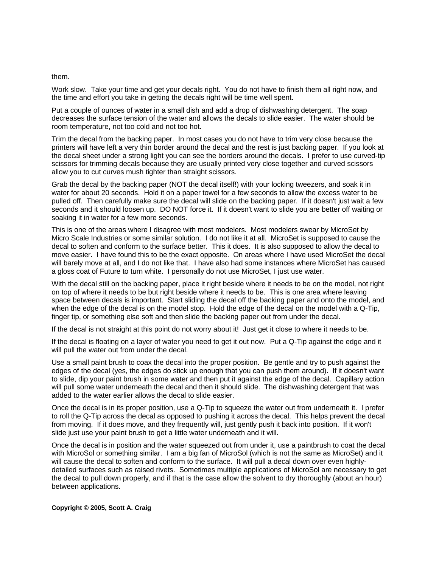## them.

Work slow. Take your time and get your decals right. You do not have to finish them all right now, and the time and effort you take in getting the decals right will be time well spent.

Put a couple of ounces of water in a small dish and add a drop of dishwashing detergent. The soap decreases the surface tension of the water and allows the decals to slide easier. The water should be room temperature, not too cold and not too hot.

Trim the decal from the backing paper. In most cases you do not have to trim very close because the printers will have left a very thin border around the decal and the rest is just backing paper. If you look at the decal sheet under a strong light you can see the borders around the decals. I prefer to use curved-tip scissors for trimming decals because they are usually printed very close together and curved scissors allow you to cut curves mush tighter than straight scissors.

Grab the decal by the backing paper (NOT the decal itself!) with your locking tweezers, and soak it in water for about 20 seconds. Hold it on a paper towel for a few seconds to allow the excess water to be pulled off. Then carefully make sure the decal will slide on the backing paper. If it doesn't just wait a few seconds and it should loosen up. DO NOT force it. If it doesn't want to slide you are better off waiting or soaking it in water for a few more seconds.

This is one of the areas where I disagree with most modelers. Most modelers swear by MicroSet by Micro Scale Industries or some similar solution. I do not like it at all. MicroSet is supposed to cause the decal to soften and conform to the surface better. This it does. It is also supposed to allow the decal to move easier. I have found this to be the exact opposite. On areas where I have used MicroSet the decal will barely move at all, and I do not like that. I have also had some instances where MicroSet has caused a gloss coat of Future to turn white. I personally do not use MicroSet, I just use water.

With the decal still on the backing paper, place it right beside where it needs to be on the model, not right on top of where it needs to be but right beside where it needs to be. This is one area where leaving space between decals is important. Start sliding the decal off the backing paper and onto the model, and when the edge of the decal is on the model stop. Hold the edge of the decal on the model with a Q-Tip, finger tip, or something else soft and then slide the backing paper out from under the decal.

If the decal is not straight at this point do not worry about it! Just get it close to where it needs to be.

If the decal is floating on a layer of water you need to get it out now. Put a Q-Tip against the edge and it will pull the water out from under the decal.

Use a small paint brush to coax the decal into the proper position. Be gentle and try to push against the edges of the decal (yes, the edges do stick up enough that you can push them around). If it doesn't want to slide, dip your paint brush in some water and then put it against the edge of the decal. Capillary action will pull some water underneath the decal and then it should slide. The dishwashing detergent that was added to the water earlier allows the decal to slide easier.

Once the decal is in its proper position, use a Q-Tip to squeeze the water out from underneath it. I prefer to roll the Q-Tip across the decal as opposed to pushing it across the decal. This helps prevent the decal from moving. If it does move, and they frequently will, just gently push it back into position. If it won't slide just use your paint brush to get a little water underneath and it will.

Once the decal is in position and the water squeezed out from under it, use a paintbrush to coat the decal with MicroSol or something similar. I am a big fan of MicroSol (which is not the same as MicroSet) and it will cause the decal to soften and conform to the surface. It will pull a decal down over even highlydetailed surfaces such as raised rivets. Sometimes multiple applications of MicroSol are necessary to get the decal to pull down properly, and if that is the case allow the solvent to dry thoroughly (about an hour) between applications.

**Copyright © 2005, Scott A. Craig**